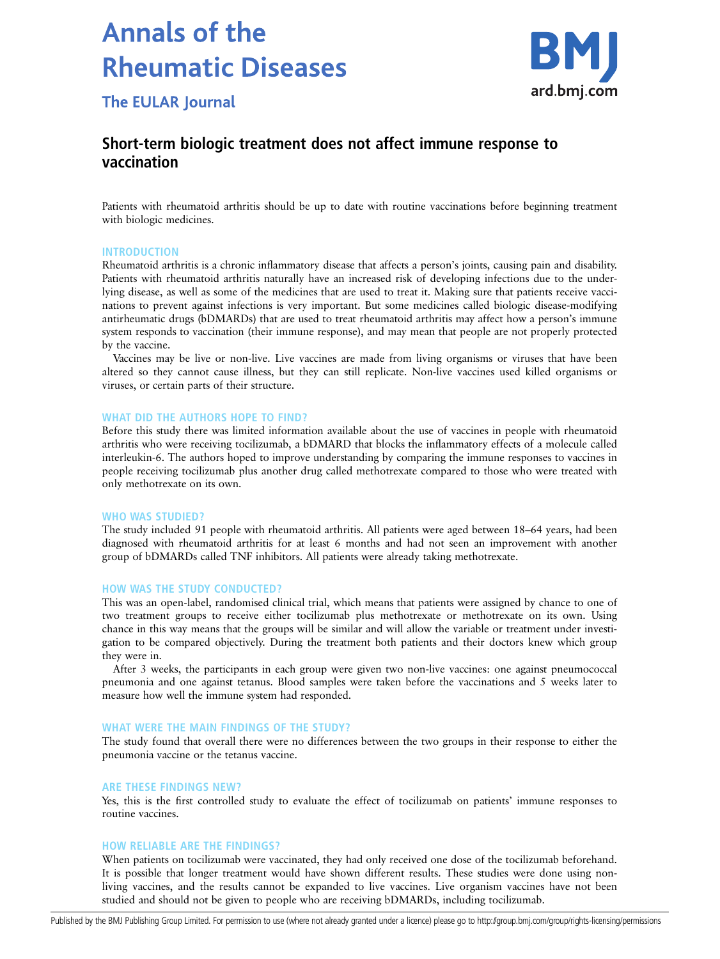# **Annals of the Rheumatic Diseases**



**The EULAR Journal** 

# Short-term biologic treatment does not affect immune response to vaccination

Patients with rheumatoid arthritis should be up to date with routine vaccinations before beginning treatment with biologic medicines.

### INTRODUCTION

Rheumatoid arthritis is a chronic inflammatory disease that affects a person's joints, causing pain and disability. Patients with rheumatoid arthritis naturally have an increased risk of developing infections due to the underlying disease, as well as some of the medicines that are used to treat it. Making sure that patients receive vaccinations to prevent against infections is very important. But some medicines called biologic disease-modifying antirheumatic drugs (bDMARDs) that are used to treat rheumatoid arthritis may affect how a person's immune system responds to vaccination (their immune response), and may mean that people are not properly protected by the vaccine.

Vaccines may be live or non-live. Live vaccines are made from living organisms or viruses that have been altered so they cannot cause illness, but they can still replicate. Non-live vaccines used killed organisms or viruses, or certain parts of their structure.

### WHAT DID THE AUTHORS HOPE TO FIND?

Before this study there was limited information available about the use of vaccines in people with rheumatoid arthritis who were receiving tocilizumab, a bDMARD that blocks the inflammatory effects of a molecule called interleukin-6. The authors hoped to improve understanding by comparing the immune responses to vaccines in people receiving tocilizumab plus another drug called methotrexate compared to those who were treated with only methotrexate on its own.

#### WHO WAS STUDIED?

The study included 91 people with rheumatoid arthritis. All patients were aged between 18–64 years, had been diagnosed with rheumatoid arthritis for at least 6 months and had not seen an improvement with another group of bDMARDs called TNF inhibitors. All patients were already taking methotrexate.

#### HOW WAS THE STUDY CONDUCTED?

This was an open-label, randomised clinical trial, which means that patients were assigned by chance to one of two treatment groups to receive either tocilizumab plus methotrexate or methotrexate on its own. Using chance in this way means that the groups will be similar and will allow the variable or treatment under investigation to be compared objectively. During the treatment both patients and their doctors knew which group they were in.

After 3 weeks, the participants in each group were given two non-live vaccines: one against pneumococcal pneumonia and one against tetanus. Blood samples were taken before the vaccinations and 5 weeks later to measure how well the immune system had responded.

# WHAT WERE THE MAIN FINDINGS OF THE STUDY?

The study found that overall there were no differences between the two groups in their response to either the pneumonia vaccine or the tetanus vaccine.

### ARE THESE FINDINGS NEW?

Yes, this is the first controlled study to evaluate the effect of tocilizumab on patients' immune responses to routine vaccines.

# HOW RELIABLE ARE THE FINDINGS?

When patients on tocilizumab were vaccinated, they had only received one dose of the tocilizumab beforehand. It is possible that longer treatment would have shown different results. These studies were done using nonliving vaccines, and the results cannot be expanded to live vaccines. Live organism vaccines have not been studied and should not be given to people who are receiving bDMARDs, including tocilizumab.